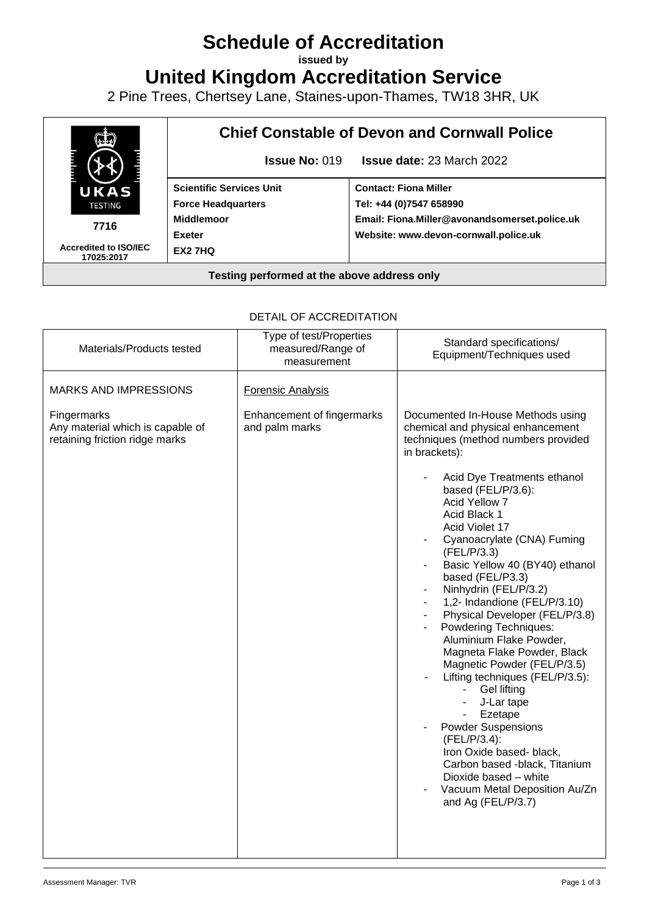# **Schedule of Accreditation**

**issued by**

**United Kingdom Accreditation Service**

2 Pine Trees, Chertsey Lane, Staines-upon-Thames, TW18 3HR, UK



### DETAIL OF ACCREDITATION

| Materials/Products tested                                                                                         | Type of test/Properties<br>measured/Range of<br>measurement              | Standard specifications/<br>Equipment/Techniques used                                                                                                                                                                                                                                                                                                                                                                                                                                                                                                                                                                                                                                                                                                                                                                                        |
|-------------------------------------------------------------------------------------------------------------------|--------------------------------------------------------------------------|----------------------------------------------------------------------------------------------------------------------------------------------------------------------------------------------------------------------------------------------------------------------------------------------------------------------------------------------------------------------------------------------------------------------------------------------------------------------------------------------------------------------------------------------------------------------------------------------------------------------------------------------------------------------------------------------------------------------------------------------------------------------------------------------------------------------------------------------|
| <b>MARKS AND IMPRESSIONS</b><br>Fingermarks<br>Any material which is capable of<br>retaining friction ridge marks | <b>Forensic Analysis</b><br>Enhancement of fingermarks<br>and palm marks | Documented In-House Methods using<br>chemical and physical enhancement<br>techniques (method numbers provided<br>in brackets):<br>Acid Dye Treatments ethanol<br>based (FEL/P/3.6):<br>Acid Yellow 7<br>Acid Black 1<br>Acid Violet 17<br>Cyanoacrylate (CNA) Fuming<br>(FEL/P/3.3)<br>Basic Yellow 40 (BY40) ethanol<br>based (FEL/P3.3)<br>Ninhydrin (FEL/P/3.2)<br>1,2- Indandione (FEL/P/3.10)<br>Physical Developer (FEL/P/3.8)<br>Powdering Techniques:<br>Aluminium Flake Powder,<br>Magneta Flake Powder, Black<br>Magnetic Powder (FEL/P/3.5)<br>Lifting techniques (FEL/P/3.5):<br><b>Gel lifting</b><br>$\sim$<br>J-Lar tape<br>Ezetape<br><b>Powder Suspensions</b><br>(FEL/P/3.4):<br>Iron Oxide based- black,<br>Carbon based -black, Titanium<br>Dioxide based - white<br>Vacuum Metal Deposition Au/Zn<br>and Ag (FEL/P/3.7) |
|                                                                                                                   |                                                                          |                                                                                                                                                                                                                                                                                                                                                                                                                                                                                                                                                                                                                                                                                                                                                                                                                                              |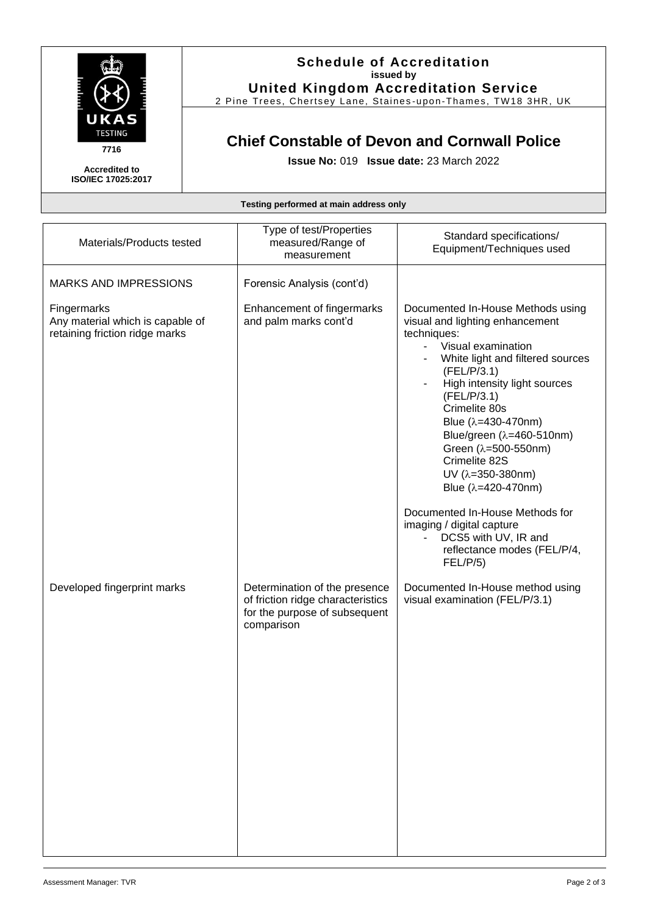

#### **Schedule of Accreditation issued by United Kingdom Accreditation Service**

2 Pine Trees, Chertsey Lane, Staines -upon -Thames, TW18 3HR, UK

## **Chief Constable of Devon and Cornwall Police**

**Issue No:** 019 **Issue date:** 23 March 2022

**Accredited to ISO/IEC 17025:2017**

**Testing performed at main address only**

| Materials/Products tested                                                         | Type of test/Properties<br>measured/Range of<br>measurement                                                       | Standard specifications/<br>Equipment/Techniques used                                                                                                                                                                                                                                                                                                                                                                                                                                                                                                             |
|-----------------------------------------------------------------------------------|-------------------------------------------------------------------------------------------------------------------|-------------------------------------------------------------------------------------------------------------------------------------------------------------------------------------------------------------------------------------------------------------------------------------------------------------------------------------------------------------------------------------------------------------------------------------------------------------------------------------------------------------------------------------------------------------------|
| <b>MARKS AND IMPRESSIONS</b>                                                      | Forensic Analysis (cont'd)                                                                                        |                                                                                                                                                                                                                                                                                                                                                                                                                                                                                                                                                                   |
| Fingermarks<br>Any material which is capable of<br>retaining friction ridge marks | Enhancement of fingermarks<br>and palm marks cont'd                                                               | Documented In-House Methods using<br>visual and lighting enhancement<br>techniques:<br>Visual examination<br>$\blacksquare$<br>White light and filtered sources<br>(FEL/P/3.1)<br>High intensity light sources<br>$\overline{\phantom{a}}$<br>(FEL/P/3.1)<br>Crimelite 80s<br>Blue $(\lambda = 430 - 470)$ nm)<br>Blue/green (λ=460-510nm)<br>Green (λ=500-550nm)<br>Crimelite 82S<br>$UV$ (λ=350-380nm)<br>Blue (λ=420-470nm)<br>Documented In-House Methods for<br>imaging / digital capture<br>DCS5 with UV, IR and<br>reflectance modes (FEL/P/4,<br>FEL/P/5) |
| Developed fingerprint marks                                                       | Determination of the presence<br>of friction ridge characteristics<br>for the purpose of subsequent<br>comparison | Documented In-House method using<br>visual examination (FEL/P/3.1)                                                                                                                                                                                                                                                                                                                                                                                                                                                                                                |